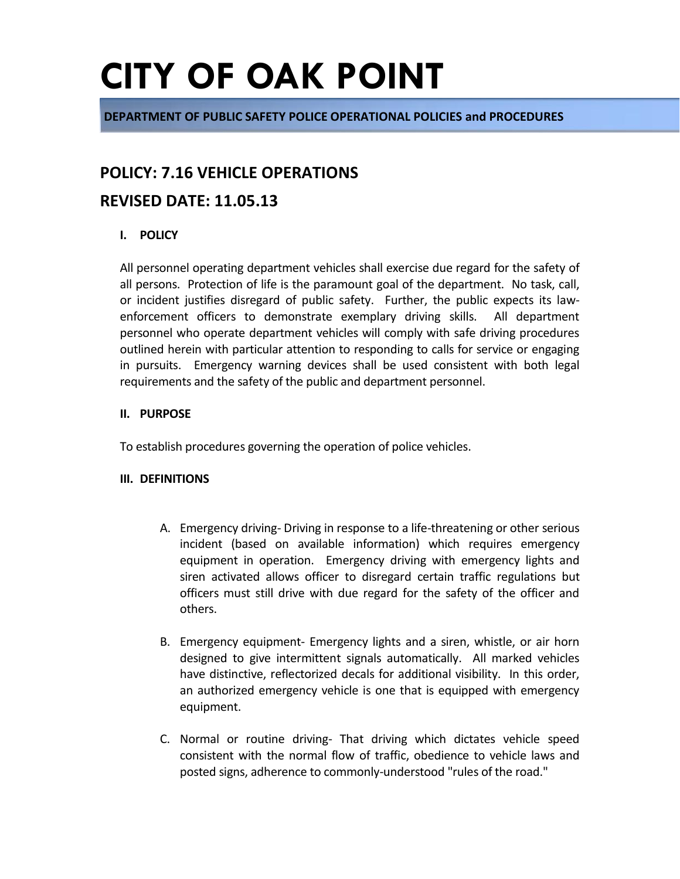**DEPARTMENT OF PUBLIC SAFETY POLICE OPERATIONAL POLICIES and PROCEDURES**

### **POLICY: 7.16 VEHICLE OPERATIONS**

### **REVISED DATE: 11.05.13**

### **I. POLICY**

All personnel operating department vehicles shall exercise due regard for the safety of all persons. Protection of life is the paramount goal of the department. No task, call, or incident justifies disregard of public safety. Further, the public expects its lawenforcement officers to demonstrate exemplary driving skills. All department personnel who operate department vehicles will comply with safe driving procedures outlined herein with particular attention to responding to calls for service or engaging in pursuits. Emergency warning devices shall be used consistent with both legal requirements and the safety of the public and department personnel.

#### **II. PURPOSE**

To establish procedures governing the operation of police vehicles.

#### **III. DEFINITIONS**

- A. Emergency driving- Driving in response to a life-threatening or other serious incident (based on available information) which requires emergency equipment in operation. Emergency driving with emergency lights and siren activated allows officer to disregard certain traffic regulations but officers must still drive with due regard for the safety of the officer and others.
- B. Emergency equipment- Emergency lights and a siren, whistle, or air horn designed to give intermittent signals automatically. All marked vehicles have distinctive, reflectorized decals for additional visibility. In this order, an authorized emergency vehicle is one that is equipped with emergency equipment.
- C. Normal or routine driving- That driving which dictates vehicle speed consistent with the normal flow of traffic, obedience to vehicle laws and posted signs, adherence to commonly-understood "rules of the road."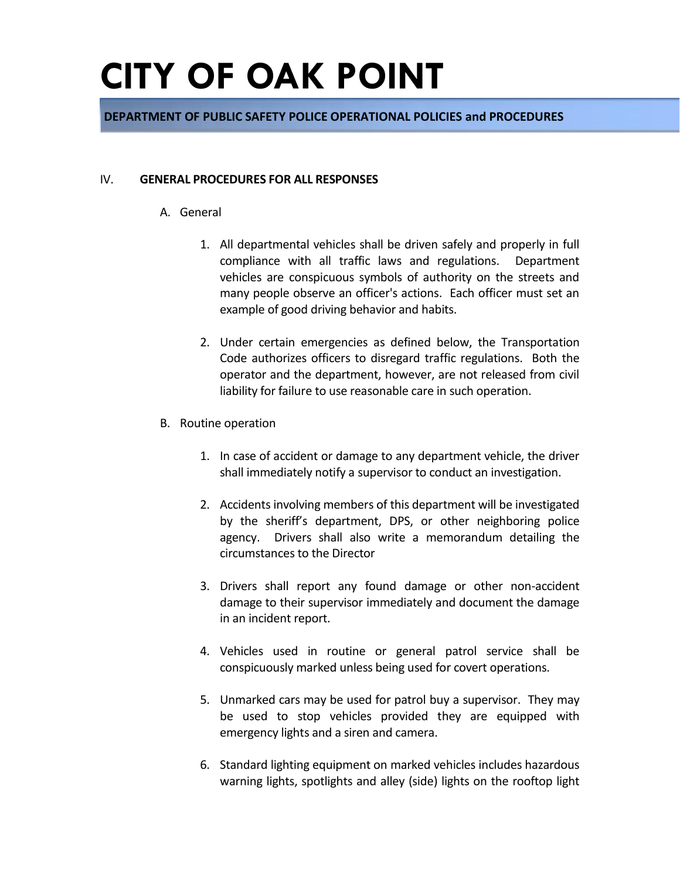### **DEPARTMENT OF PUBLIC SAFETY POLICE OPERATIONAL POLICIES and PROCEDURES**

#### IV. **GENERAL PROCEDURES FOR ALL RESPONSES**

- A. General
	- 1. All departmental vehicles shall be driven safely and properly in full compliance with all traffic laws and regulations. Department vehicles are conspicuous symbols of authority on the streets and many people observe an officer's actions. Each officer must set an example of good driving behavior and habits.
	- 2. Under certain emergencies as defined below, the Transportation Code authorizes officers to disregard traffic regulations. Both the operator and the department, however, are not released from civil liability for failure to use reasonable care in such operation.
- B. Routine operation
	- 1. In case of accident or damage to any department vehicle, the driver shall immediately notify a supervisor to conduct an investigation.
	- 2. Accidents involving members of this department will be investigated by the sheriff's department, DPS, or other neighboring police agency. Drivers shall also write a memorandum detailing the circumstances to the Director
	- 3. Drivers shall report any found damage or other non-accident damage to their supervisor immediately and document the damage in an incident report.
	- 4. Vehicles used in routine or general patrol service shall be conspicuously marked unless being used for covert operations.
	- 5. Unmarked cars may be used for patrol buy a supervisor. They may be used to stop vehicles provided they are equipped with emergency lights and a siren and camera.
	- 6. Standard lighting equipment on marked vehicles includes hazardous warning lights, spotlights and alley (side) lights on the rooftop light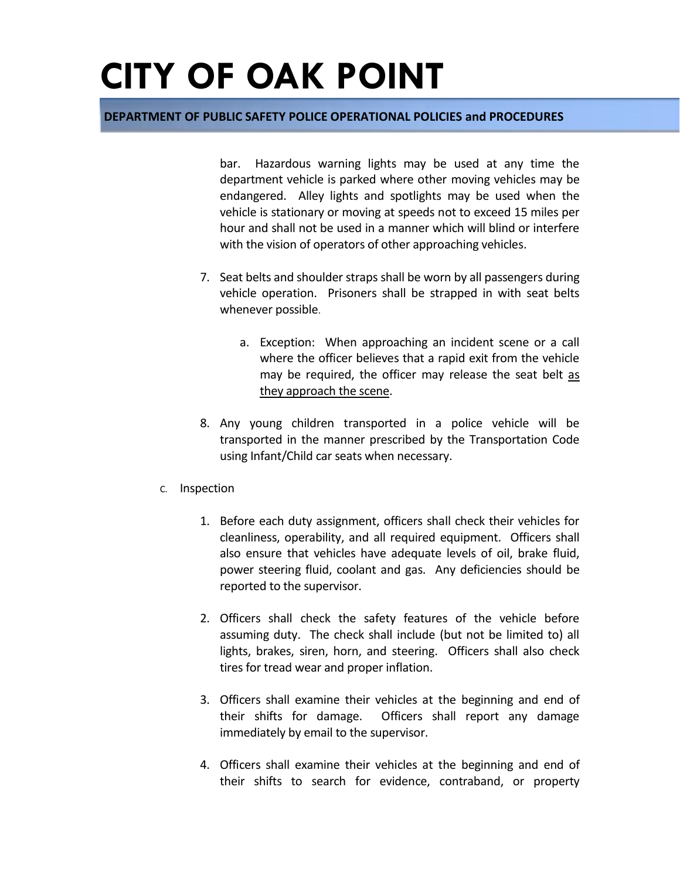#### **DEPARTMENT OF PUBLIC SAFETY POLICE OPERATIONAL POLICIES and PROCEDURES**

bar. Hazardous warning lights may be used at any time the department vehicle is parked where other moving vehicles may be endangered. Alley lights and spotlights may be used when the vehicle is stationary or moving at speeds not to exceed 15 miles per hour and shall not be used in a manner which will blind or interfere with the vision of operators of other approaching vehicles.

- 7. Seat belts and shoulder straps shall be worn by all passengers during vehicle operation. Prisoners shall be strapped in with seat belts whenever possible.
	- a. Exception: When approaching an incident scene or a call where the officer believes that a rapid exit from the vehicle may be required, the officer may release the seat belt as they approach the scene.
- 8. Any young children transported in a police vehicle will be transported in the manner prescribed by the Transportation Code using Infant/Child car seats when necessary.
- C. Inspection
	- 1. Before each duty assignment, officers shall check their vehicles for cleanliness, operability, and all required equipment. Officers shall also ensure that vehicles have adequate levels of oil, brake fluid, power steering fluid, coolant and gas. Any deficiencies should be reported to the supervisor.
	- 2. Officers shall check the safety features of the vehicle before assuming duty. The check shall include (but not be limited to) all lights, brakes, siren, horn, and steering. Officers shall also check tires for tread wear and proper inflation.
	- 3. Officers shall examine their vehicles at the beginning and end of their shifts for damage. Officers shall report any damage immediately by email to the supervisor.
	- 4. Officers shall examine their vehicles at the beginning and end of their shifts to search for evidence, contraband, or property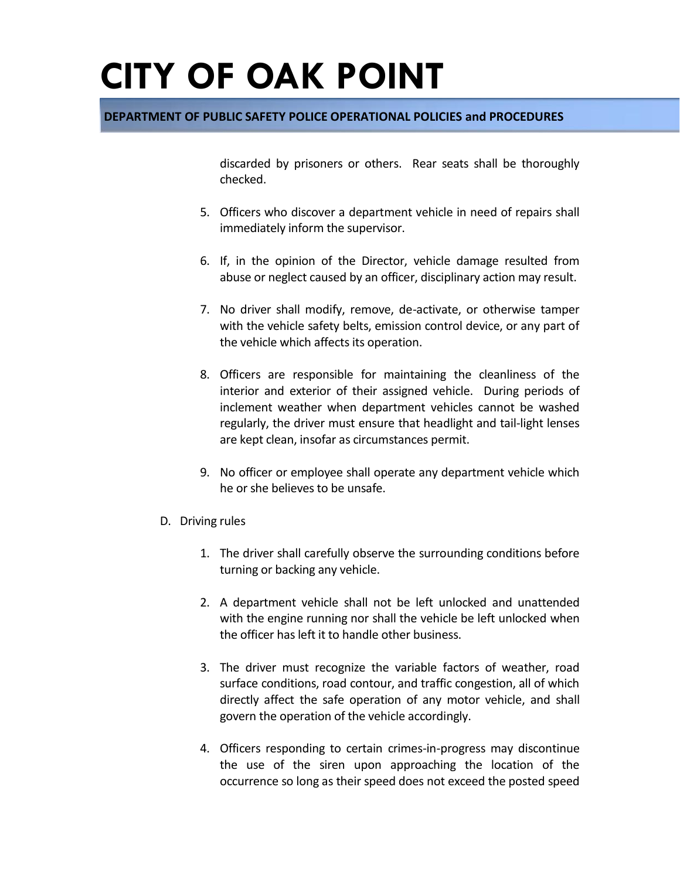### **DEPARTMENT OF PUBLIC SAFETY POLICE OPERATIONAL POLICIES and PROCEDURES**

discarded by prisoners or others. Rear seats shall be thoroughly checked.

- 5. Officers who discover a department vehicle in need of repairs shall immediately inform the supervisor.
- 6. If, in the opinion of the Director, vehicle damage resulted from abuse or neglect caused by an officer, disciplinary action may result.
- 7. No driver shall modify, remove, de-activate, or otherwise tamper with the vehicle safety belts, emission control device, or any part of the vehicle which affects its operation.
- 8. Officers are responsible for maintaining the cleanliness of the interior and exterior of their assigned vehicle. During periods of inclement weather when department vehicles cannot be washed regularly, the driver must ensure that headlight and tail-light lenses are kept clean, insofar as circumstances permit.
- 9. No officer or employee shall operate any department vehicle which he or she believes to be unsafe.
- D. Driving rules
	- 1. The driver shall carefully observe the surrounding conditions before turning or backing any vehicle.
	- 2. A department vehicle shall not be left unlocked and unattended with the engine running nor shall the vehicle be left unlocked when the officer has left it to handle other business.
	- 3. The driver must recognize the variable factors of weather, road surface conditions, road contour, and traffic congestion, all of which directly affect the safe operation of any motor vehicle, and shall govern the operation of the vehicle accordingly.
	- 4. Officers responding to certain crimes-in-progress may discontinue the use of the siren upon approaching the location of the occurrence so long as their speed does not exceed the posted speed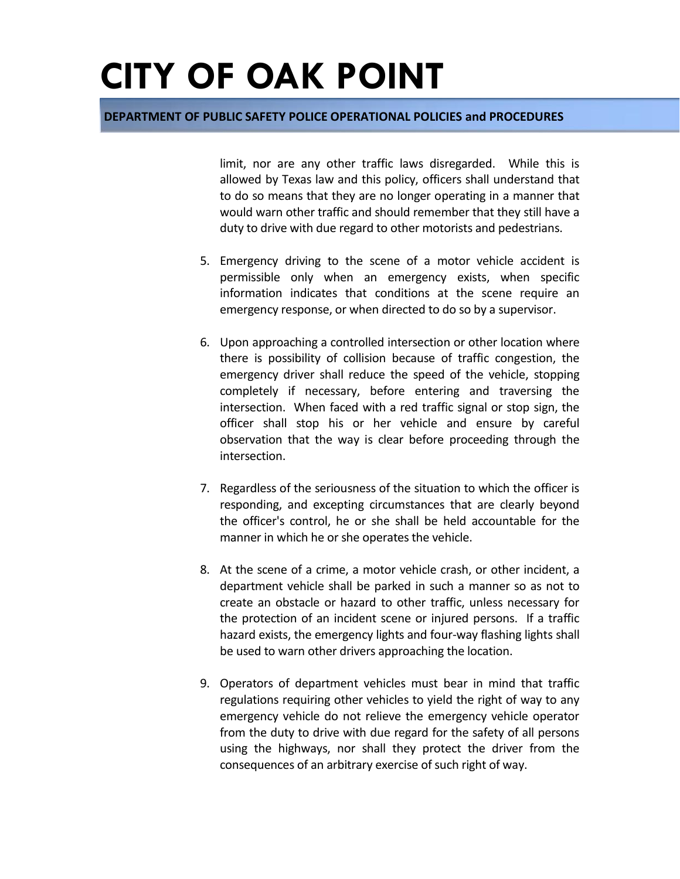#### **DEPARTMENT OF PUBLIC SAFETY POLICE OPERATIONAL POLICIES and PROCEDURES**

limit, nor are any other traffic laws disregarded. While this is allowed by Texas law and this policy, officers shall understand that to do so means that they are no longer operating in a manner that would warn other traffic and should remember that they still have a duty to drive with due regard to other motorists and pedestrians.

- 5. Emergency driving to the scene of a motor vehicle accident is permissible only when an emergency exists, when specific information indicates that conditions at the scene require an emergency response, or when directed to do so by a supervisor.
- 6. Upon approaching a controlled intersection or other location where there is possibility of collision because of traffic congestion, the emergency driver shall reduce the speed of the vehicle, stopping completely if necessary, before entering and traversing the intersection. When faced with a red traffic signal or stop sign, the officer shall stop his or her vehicle and ensure by careful observation that the way is clear before proceeding through the intersection.
- 7. Regardless of the seriousness of the situation to which the officer is responding, and excepting circumstances that are clearly beyond the officer's control, he or she shall be held accountable for the manner in which he or she operates the vehicle.
- 8. At the scene of a crime, a motor vehicle crash, or other incident, a department vehicle shall be parked in such a manner so as not to create an obstacle or hazard to other traffic, unless necessary for the protection of an incident scene or injured persons. If a traffic hazard exists, the emergency lights and four-way flashing lights shall be used to warn other drivers approaching the location.
- 9. Operators of department vehicles must bear in mind that traffic regulations requiring other vehicles to yield the right of way to any emergency vehicle do not relieve the emergency vehicle operator from the duty to drive with due regard for the safety of all persons using the highways, nor shall they protect the driver from the consequences of an arbitrary exercise of such right of way.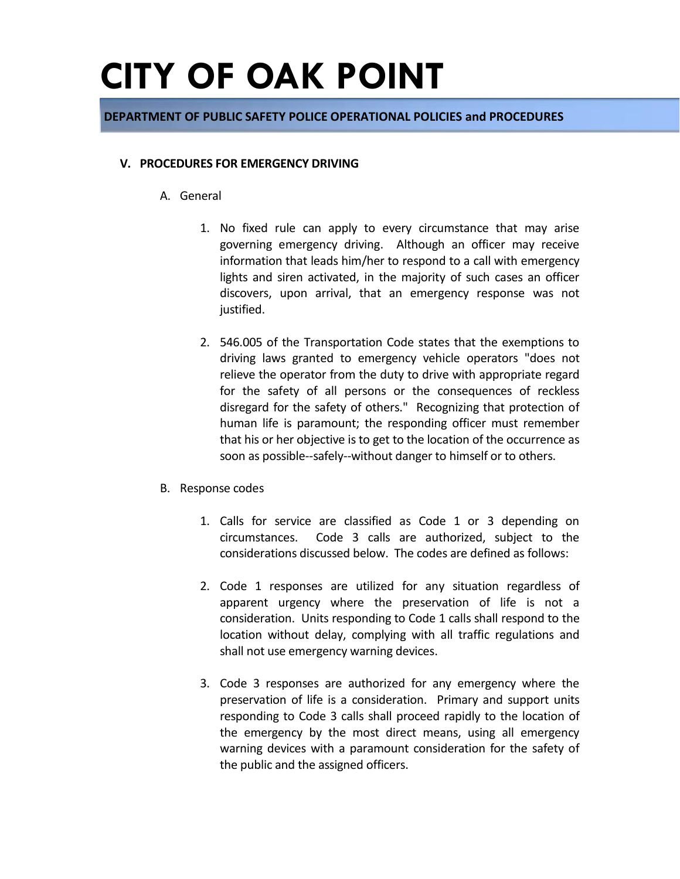#### **DEPARTMENT OF PUBLIC SAFETY POLICE OPERATIONAL POLICIES and PROCEDURES**

#### **V. PROCEDURES FOR EMERGENCY DRIVING**

- A. General
	- 1. No fixed rule can apply to every circumstance that may arise governing emergency driving. Although an officer may receive information that leads him/her to respond to a call with emergency lights and siren activated, in the majority of such cases an officer discovers, upon arrival, that an emergency response was not justified.
	- 2. 546.005 of the Transportation Code states that the exemptions to driving laws granted to emergency vehicle operators "does not relieve the operator from the duty to drive with appropriate regard for the safety of all persons or the consequences of reckless disregard for the safety of others." Recognizing that protection of human life is paramount; the responding officer must remember that his or her objective is to get to the location of the occurrence as soon as possible--safely--without danger to himself or to others.
- B. Response codes
	- 1. Calls for service are classified as Code 1 or 3 depending on circumstances. Code 3 calls are authorized, subject to the considerations discussed below. The codes are defined as follows:
	- 2. Code 1 responses are utilized for any situation regardless of apparent urgency where the preservation of life is not a consideration. Units responding to Code 1 calls shall respond to the location without delay, complying with all traffic regulations and shall not use emergency warning devices.
	- 3. Code 3 responses are authorized for any emergency where the preservation of life is a consideration. Primary and support units responding to Code 3 calls shall proceed rapidly to the location of the emergency by the most direct means, using all emergency warning devices with a paramount consideration for the safety of the public and the assigned officers.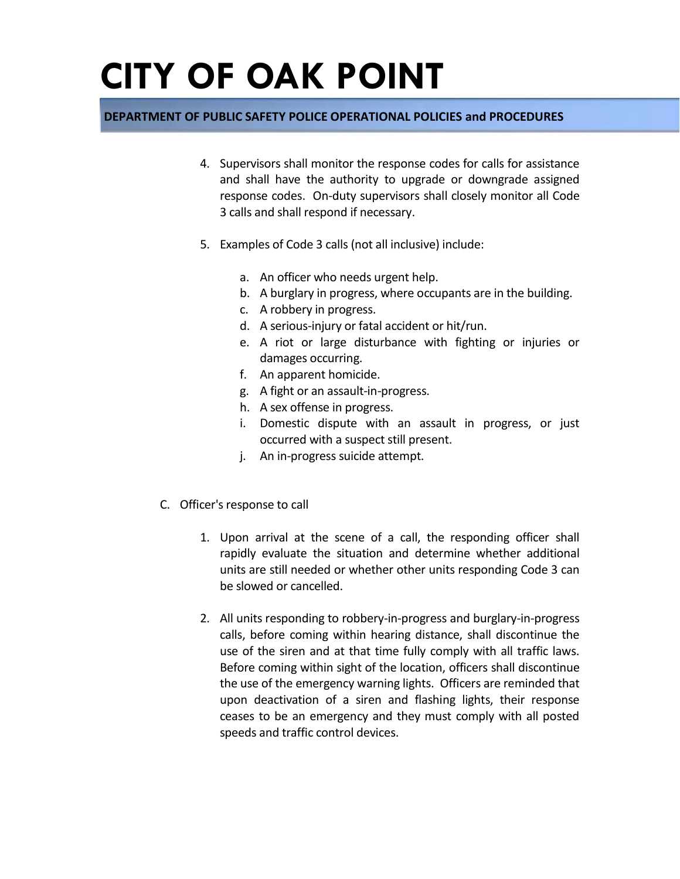### **DEPARTMENT OF PUBLIC SAFETY POLICE OPERATIONAL POLICIES and PROCEDURES**

- 4. Supervisors shall monitor the response codes for calls for assistance and shall have the authority to upgrade or downgrade assigned response codes. On-duty supervisors shall closely monitor all Code 3 calls and shall respond if necessary.
- 5. Examples of Code 3 calls (not all inclusive) include:
	- a. An officer who needs urgent help.
	- b. A burglary in progress, where occupants are in the building.
	- c. A robbery in progress.
	- d. A serious-injury or fatal accident or hit/run.
	- e. A riot or large disturbance with fighting or injuries or damages occurring.
	- f. An apparent homicide.
	- g. A fight or an assault-in-progress.
	- h. A sex offense in progress.
	- i. Domestic dispute with an assault in progress, or just occurred with a suspect still present.
	- j. An in-progress suicide attempt.
- C. Officer's response to call
	- 1. Upon arrival at the scene of a call, the responding officer shall rapidly evaluate the situation and determine whether additional units are still needed or whether other units responding Code 3 can be slowed or cancelled.
	- 2. All units responding to robbery-in-progress and burglary-in-progress calls, before coming within hearing distance, shall discontinue the use of the siren and at that time fully comply with all traffic laws. Before coming within sight of the location, officers shall discontinue the use of the emergency warning lights. Officers are reminded that upon deactivation of a siren and flashing lights, their response ceases to be an emergency and they must comply with all posted speeds and traffic control devices.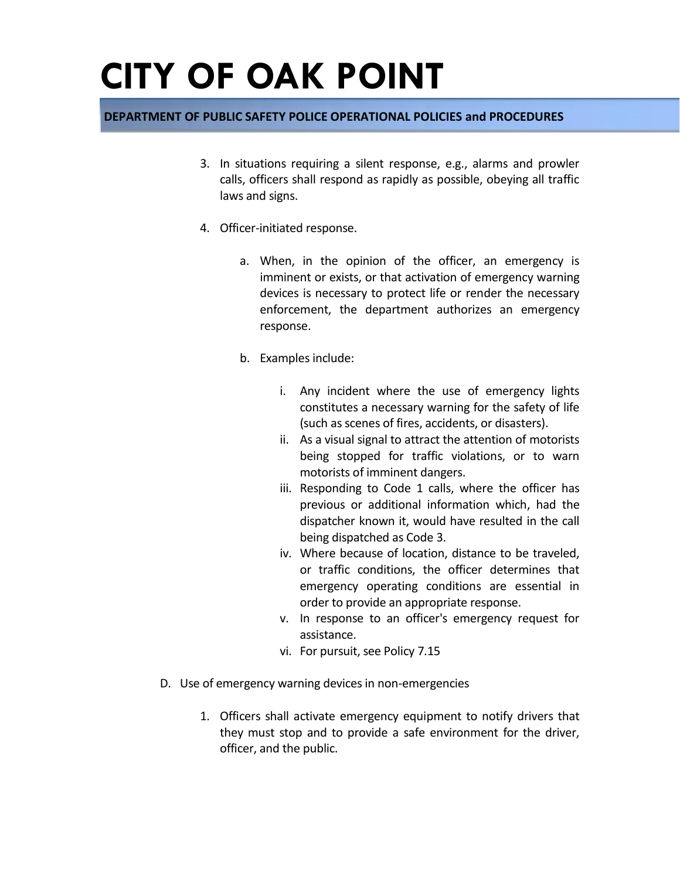### **DEPARTMENT OF PUBLIC SAFETY POLICE OPERATIONAL POLICIES and PROCEDURES**

- 3. In situations requiring a silent response, e.g., alarms and prowler calls, officers shall respond as rapidly as possible, obeying all traffic laws and signs.
- 4. Officer-initiated response.
	- a. When, in the opinion of the officer, an emergency is imminent or exists, or that activation of emergency warning devices is necessary to protect life or render the necessary enforcement, the department authorizes an emergency response.
	- b. Examples include:
		- i. Any incident where the use of emergency lights constitutes a necessary warning for the safety of life (such as scenes of fires, accidents, or disasters).
		- ii. As a visual signal to attract the attention of motorists being stopped for traffic violations, or to warn motorists of imminent dangers.
		- iii. Responding to Code 1 calls, where the officer has previous or additional information which, had the dispatcher known it, would have resulted in the call being dispatched as Code 3.
		- iv. Where because of location, distance to be traveled, or traffic conditions, the officer determines that emergency operating conditions are essential in order to provide an appropriate response.
		- v. In response to an officer's emergency request for assistance.
		- vi. For pursuit, see Policy 7.15
- D. Use of emergency warning devices in non-emergencies
	- 1. Officers shall activate emergency equipment to notify drivers that they must stop and to provide a safe environment for the driver, officer, and the public.